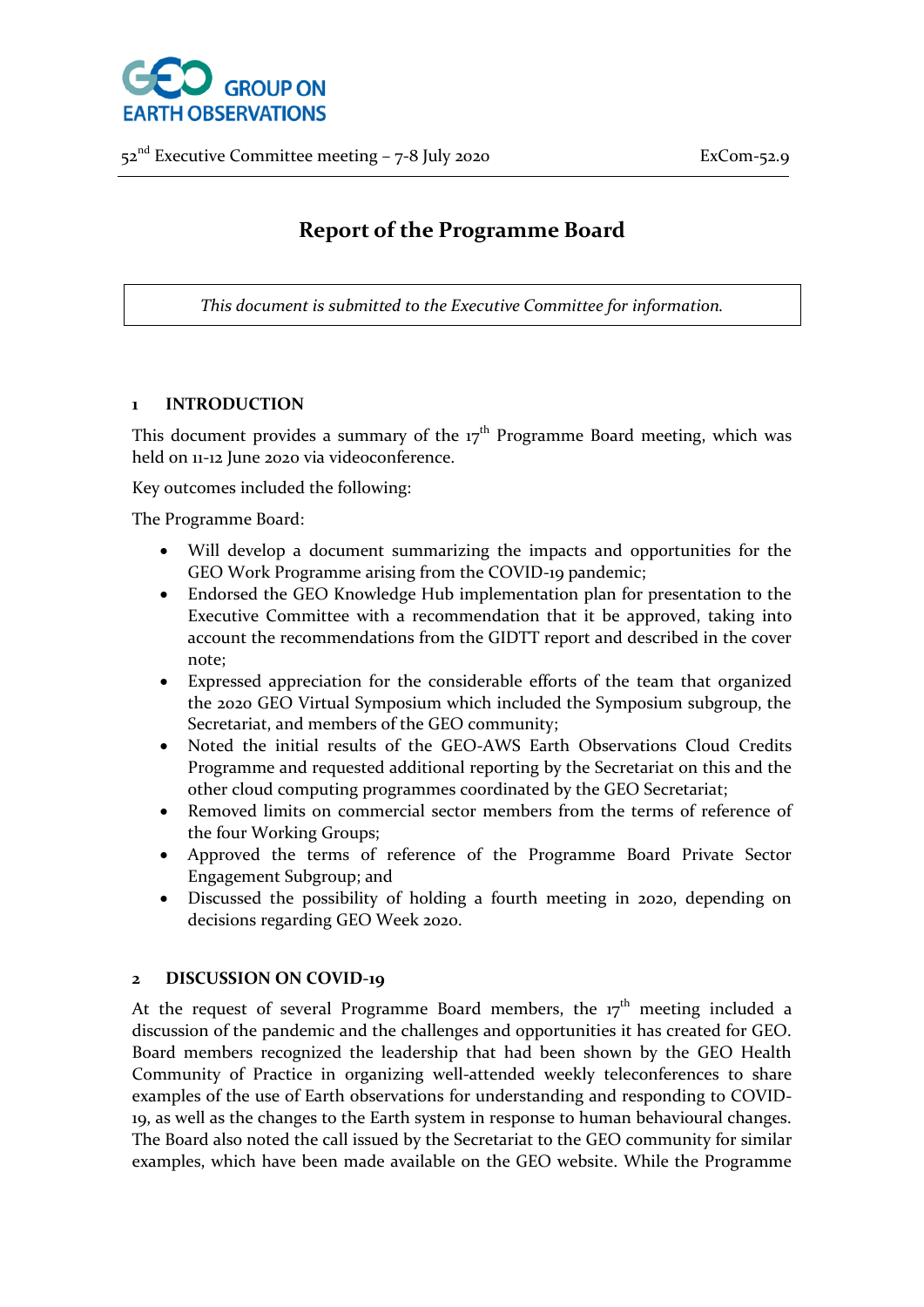

# **Report of the Programme Board**

*This document is submitted to the Executive Committee for information.*

#### **1 INTRODUCTION**

This document provides a summary of the  $17<sup>th</sup>$  Programme Board meeting, which was held on 11-12 June 2020 via videoconference.

Key outcomes included the following:

The Programme Board:

- Will develop a document summarizing the impacts and opportunities for the GEO Work Programme arising from the COVID-19 pandemic;
- Endorsed the GEO Knowledge Hub implementation plan for presentation to the Executive Committee with a recommendation that it be approved, taking into account the recommendations from the GIDTT report and described in the cover note;
- Expressed appreciation for the considerable efforts of the team that organized the 2020 GEO Virtual Symposium which included the Symposium subgroup, the Secretariat, and members of the GEO community;
- Noted the initial results of the GEO-AWS Earth Observations Cloud Credits Programme and requested additional reporting by the Secretariat on this and the other cloud computing programmes coordinated by the GEO Secretariat;
- Removed limits on commercial sector members from the terms of reference of the four Working Groups;
- Approved the terms of reference of the Programme Board Private Sector Engagement Subgroup; and
- Discussed the possibility of holding a fourth meeting in 2020, depending on decisions regarding GEO Week 2020.

#### **2 DISCUSSION ON COVID-19**

At the request of several Programme Board members, the  $17<sup>th</sup>$  meeting included a discussion of the pandemic and the challenges and opportunities it has created for GEO. Board members recognized the leadership that had been shown by the GEO Health Community of Practice in organizing well-attended weekly teleconferences to share examples of the use of Earth observations for understanding and responding to COVID-19, as well as the changes to the Earth system in response to human behavioural changes. The Board also noted the call issued by the Secretariat to the GEO community for similar examples, which have been made available on the GEO website. While the Programme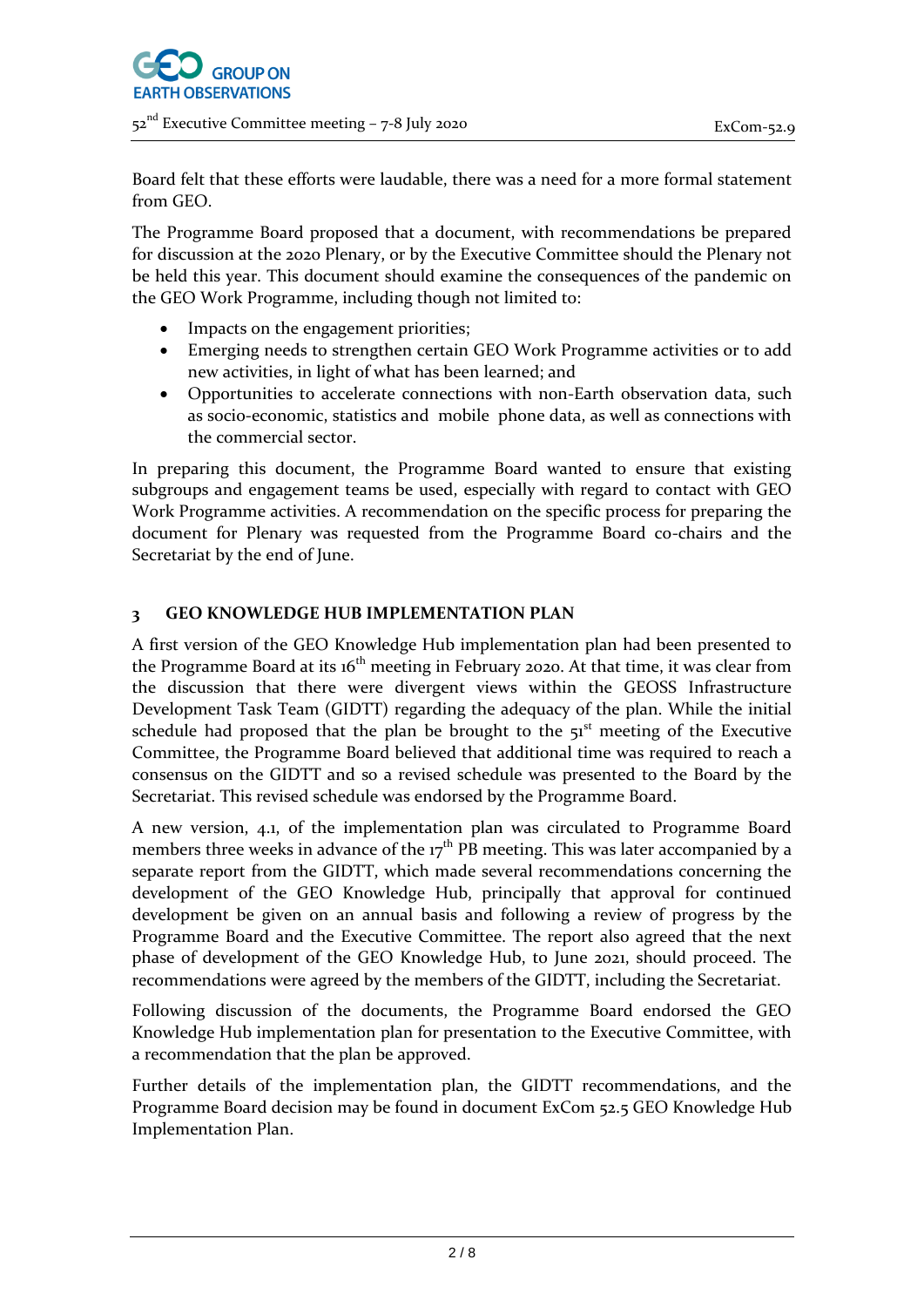

52 nd Executive Committee meeting – 7-8 July <sup>2020</sup> ExCom-52.9

Board felt that these efforts were laudable, there was a need for a more formal statement from GEO.

The Programme Board proposed that a document, with recommendations be prepared for discussion at the 2020 Plenary, or by the Executive Committee should the Plenary not be held this year. This document should examine the consequences of the pandemic on the GEO Work Programme, including though not limited to:

- Impacts on the engagement priorities;
- Emerging needs to strengthen certain GEO Work Programme activities or to add new activities, in light of what has been learned; and
- Opportunities to accelerate connections with non-Earth observation data, such as socio-economic, statistics and mobile phone data, as well as connections with the commercial sector.

In preparing this document, the Programme Board wanted to ensure that existing subgroups and engagement teams be used, especially with regard to contact with GEO Work Programme activities. A recommendation on the specific process for preparing the document for Plenary was requested from the Programme Board co-chairs and the Secretariat by the end of June.

# **3 GEO KNOWLEDGE HUB IMPLEMENTATION PLAN**

A first version of the GEO Knowledge Hub implementation plan had been presented to the Programme Board at its  $16<sup>th</sup>$  meeting in February 2020. At that time, it was clear from the discussion that there were divergent views within the GEOSS Infrastructure Development Task Team (GIDTT) regarding the adequacy of the plan. While the initial schedule had proposed that the plan be brought to the  $51<sup>st</sup>$  meeting of the Executive Committee, the Programme Board believed that additional time was required to reach a consensus on the GIDTT and so a revised schedule was presented to the Board by the Secretariat. This revised schedule was endorsed by the Programme Board.

A new version, 4.1, of the implementation plan was circulated to Programme Board members three weeks in advance of the  $17<sup>th</sup>$  PB meeting. This was later accompanied by a separate report from the GIDTT, which made several recommendations concerning the development of the GEO Knowledge Hub, principally that approval for continued development be given on an annual basis and following a review of progress by the Programme Board and the Executive Committee. The report also agreed that the next phase of development of the GEO Knowledge Hub, to June 2021, should proceed. The recommendations were agreed by the members of the GIDTT, including the Secretariat.

Following discussion of the documents, the Programme Board endorsed the GEO Knowledge Hub implementation plan for presentation to the Executive Committee, with a recommendation that the plan be approved.

Further details of the implementation plan, the GIDTT recommendations, and the Programme Board decision may be found in document ExCom 52.5 GEO Knowledge Hub Implementation Plan.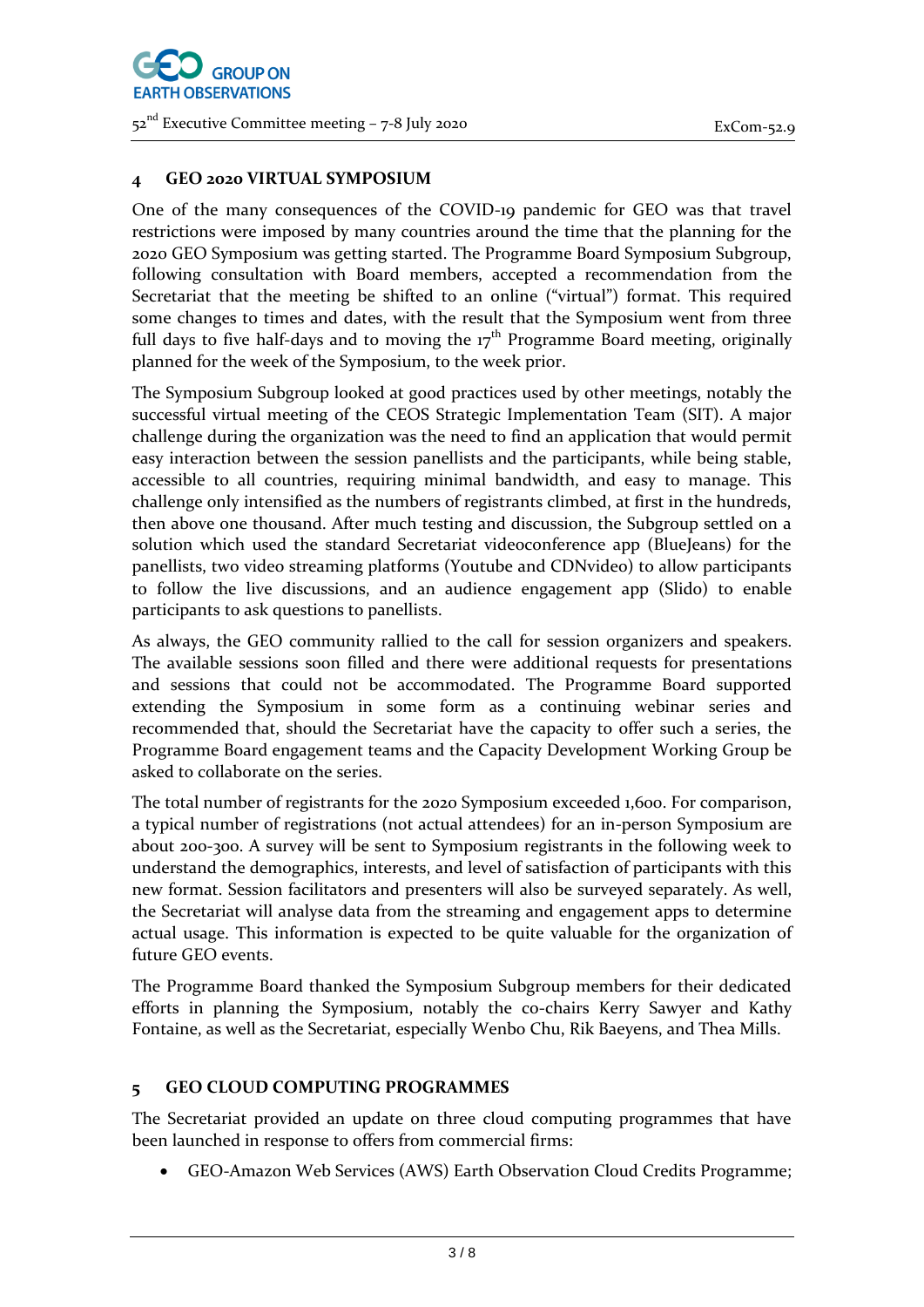

# **4 GEO 2020 VIRTUAL SYMPOSIUM**

One of the many consequences of the COVID-19 pandemic for GEO was that travel restrictions were imposed by many countries around the time that the planning for the 2020 GEO Symposium was getting started. The Programme Board Symposium Subgroup, following consultation with Board members, accepted a recommendation from the Secretariat that the meeting be shifted to an online ("virtual") format. This required some changes to times and dates, with the result that the Symposium went from three full days to five half-days and to moving the  $17<sup>th</sup>$  Programme Board meeting, originally planned for the week of the Symposium, to the week prior.

The Symposium Subgroup looked at good practices used by other meetings, notably the successful virtual meeting of the CEOS Strategic Implementation Team (SIT). A major challenge during the organization was the need to find an application that would permit easy interaction between the session panellists and the participants, while being stable, accessible to all countries, requiring minimal bandwidth, and easy to manage. This challenge only intensified as the numbers of registrants climbed, at first in the hundreds, then above one thousand. After much testing and discussion, the Subgroup settled on a solution which used the standard Secretariat videoconference app (BlueJeans) for the panellists, two video streaming platforms (Youtube and CDNvideo) to allow participants to follow the live discussions, and an audience engagement app (Slido) to enable participants to ask questions to panellists.

As always, the GEO community rallied to the call for session organizers and speakers. The available sessions soon filled and there were additional requests for presentations and sessions that could not be accommodated. The Programme Board supported extending the Symposium in some form as a continuing webinar series and recommended that, should the Secretariat have the capacity to offer such a series, the Programme Board engagement teams and the Capacity Development Working Group be asked to collaborate on the series.

The total number of registrants for the 2020 Symposium exceeded 1,600. For comparison, a typical number of registrations (not actual attendees) for an in-person Symposium are about 200-300. A survey will be sent to Symposium registrants in the following week to understand the demographics, interests, and level of satisfaction of participants with this new format. Session facilitators and presenters will also be surveyed separately. As well, the Secretariat will analyse data from the streaming and engagement apps to determine actual usage. This information is expected to be quite valuable for the organization of future GEO events.

The Programme Board thanked the Symposium Subgroup members for their dedicated efforts in planning the Symposium, notably the co-chairs Kerry Sawyer and Kathy Fontaine, as well as the Secretariat, especially Wenbo Chu, Rik Baeyens, and Thea Mills.

# **5 GEO CLOUD COMPUTING PROGRAMMES**

The Secretariat provided an update on three cloud computing programmes that have been launched in response to offers from commercial firms:

GEO-Amazon Web Services (AWS) Earth Observation Cloud Credits Programme;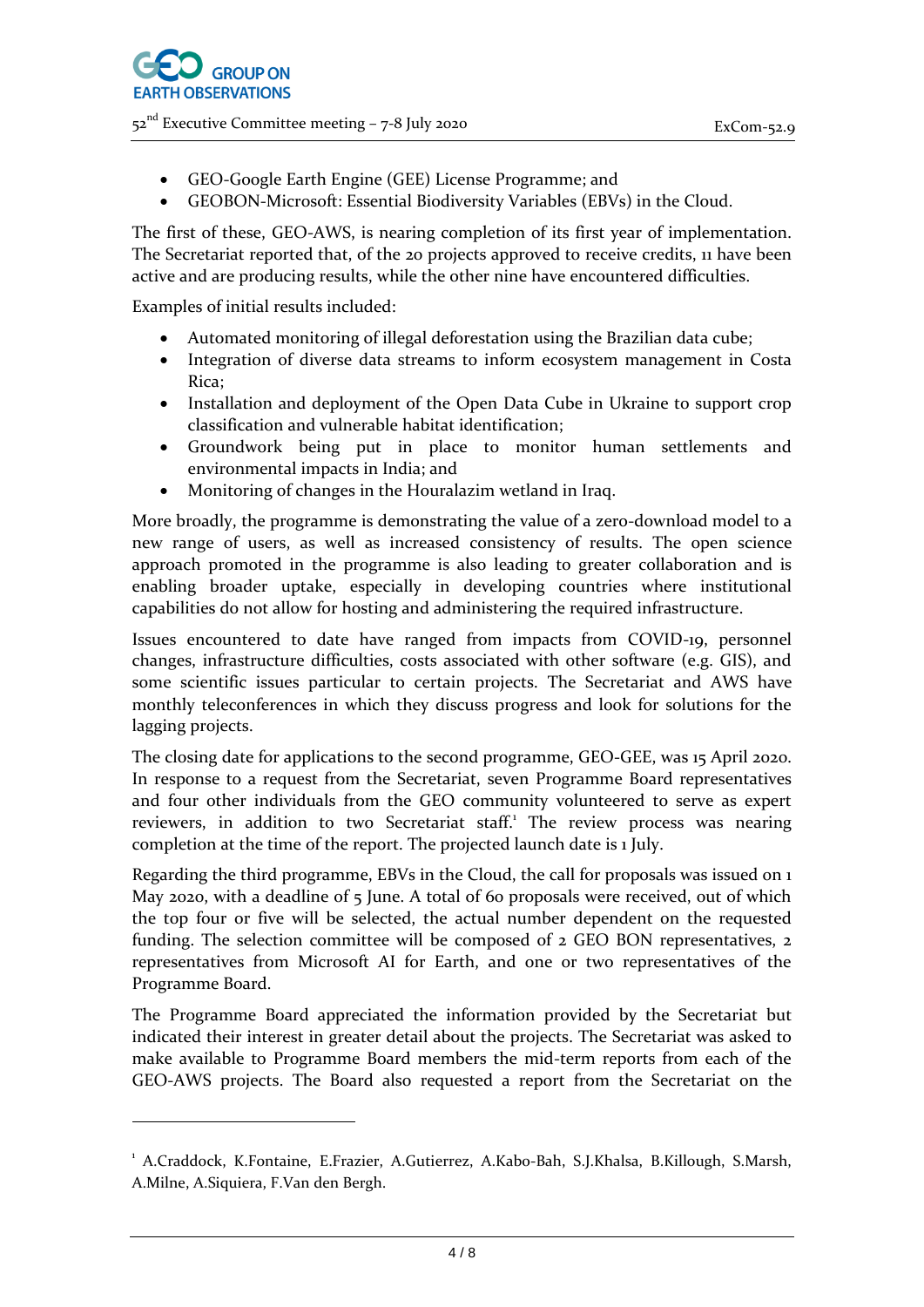- GEO-Google Earth Engine (GEE) License Programme; and
- GEOBON-Microsoft: Essential Biodiversity Variables (EBVs) in the Cloud.

The first of these, GEO-AWS, is nearing completion of its first year of implementation. The Secretariat reported that, of the 20 projects approved to receive credits, 11 have been active and are producing results, while the other nine have encountered difficulties.

Examples of initial results included:

<u>.</u>

- Automated monitoring of illegal deforestation using the Brazilian data cube;
- Integration of diverse data streams to inform ecosystem management in Costa Rica;
- Installation and deployment of the Open Data Cube in Ukraine to support crop classification and vulnerable habitat identification;
- Groundwork being put in place to monitor human settlements and environmental impacts in India; and
- Monitoring of changes in the Houralazim wetland in Iraq.

More broadly, the programme is demonstrating the value of a zero-download model to a new range of users, as well as increased consistency of results. The open science approach promoted in the programme is also leading to greater collaboration and is enabling broader uptake, especially in developing countries where institutional capabilities do not allow for hosting and administering the required infrastructure.

Issues encountered to date have ranged from impacts from COVID-19, personnel changes, infrastructure difficulties, costs associated with other software (e.g. GIS), and some scientific issues particular to certain projects. The Secretariat and AWS have monthly teleconferences in which they discuss progress and look for solutions for the lagging projects.

The closing date for applications to the second programme, GEO-GEE, was 15 April 2020. In response to a request from the Secretariat, seven Programme Board representatives and four other individuals from the GEO community volunteered to serve as expert reviewers, in addition to two Secretariat staff. <sup>1</sup> The review process was nearing completion at the time of the report. The projected launch date is 1 July.

Regarding the third programme, EBVs in the Cloud, the call for proposals was issued on 1 May 2020, with a deadline of 5 June. A total of 60 proposals were received, out of which the top four or five will be selected, the actual number dependent on the requested funding. The selection committee will be composed of 2 GEO BON representatives, 2 representatives from Microsoft AI for Earth, and one or two representatives of the Programme Board.

The Programme Board appreciated the information provided by the Secretariat but indicated their interest in greater detail about the projects. The Secretariat was asked to make available to Programme Board members the mid-term reports from each of the GEO-AWS projects. The Board also requested a report from the Secretariat on the

<sup>&</sup>lt;sup>1</sup> A.Craddock, K.Fontaine, E.Frazier, A.Gutierrez, A.Kabo-Bah, S.J.Khalsa, B.Killough, S.Marsh, A.Milne, A.Siquiera, F.Van den Bergh.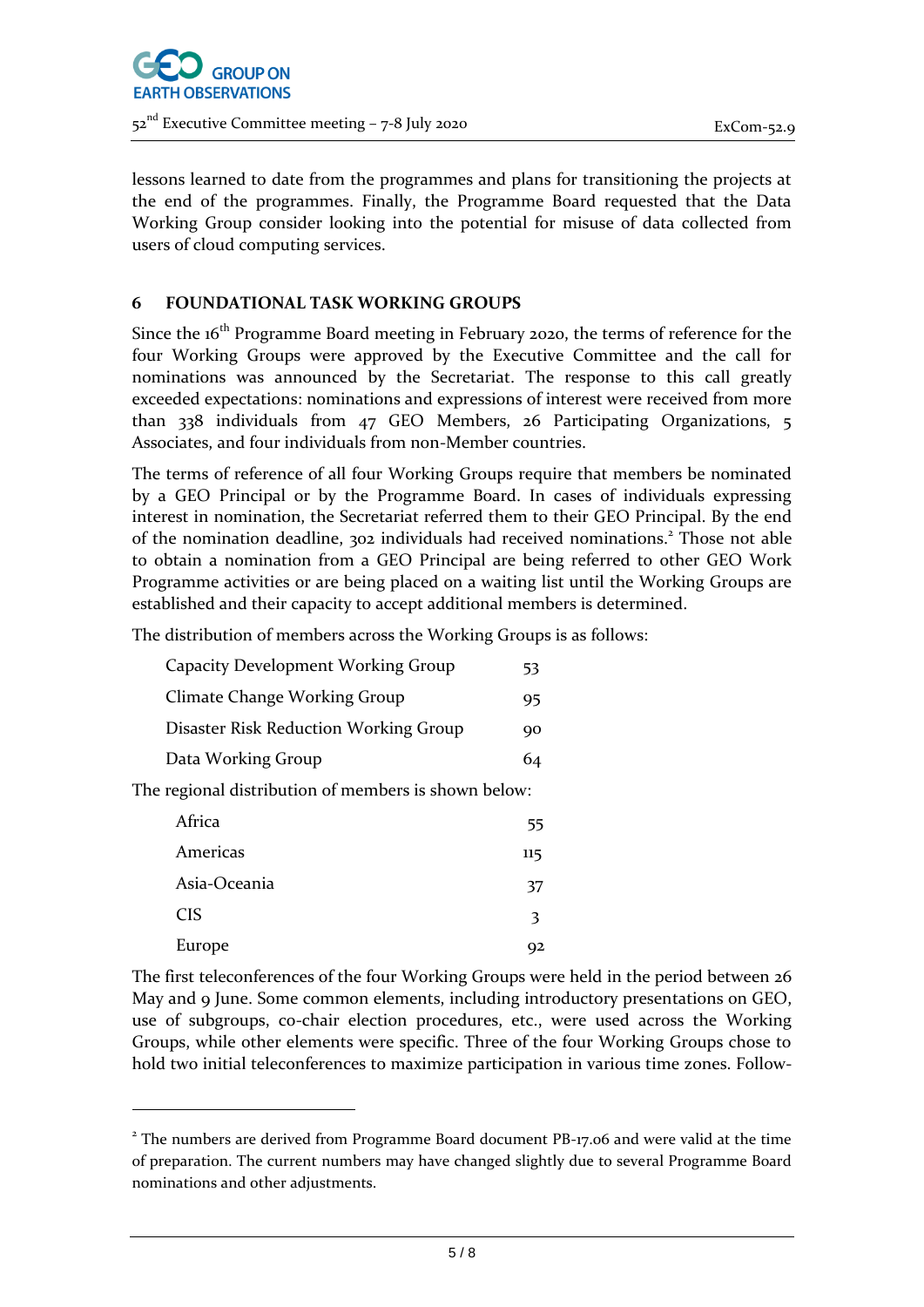

lessons learned to date from the programmes and plans for transitioning the projects at the end of the programmes. Finally, the Programme Board requested that the Data Working Group consider looking into the potential for misuse of data collected from users of cloud computing services.

### **6 FOUNDATIONAL TASK WORKING GROUPS**

Since the  $16<sup>th</sup>$  Programme Board meeting in February 2020, the terms of reference for the four Working Groups were approved by the Executive Committee and the call for nominations was announced by the Secretariat. The response to this call greatly exceeded expectations: nominations and expressions of interest were received from more than 338 individuals from 47 GEO Members, 26 Participating Organizations, 5 Associates, and four individuals from non-Member countries.

The terms of reference of all four Working Groups require that members be nominated by a GEO Principal or by the Programme Board. In cases of individuals expressing interest in nomination, the Secretariat referred them to their GEO Principal. By the end of the nomination deadline, 302 individuals had received nominations.<sup>2</sup> Those not able to obtain a nomination from a GEO Principal are being referred to other GEO Work Programme activities or are being placed on a waiting list until the Working Groups are established and their capacity to accept additional members is determined.

The distribution of members across the Working Groups is as follows:

| Capacity Development Working Group                   | 53 |  |
|------------------------------------------------------|----|--|
| Climate Change Working Group                         | 95 |  |
| Disaster Risk Reduction Working Group                | 90 |  |
| Data Working Group                                   | 64 |  |
| The regional distribution of members is shown below: |    |  |
| Africa                                               | רר |  |

| .            | ,,, |
|--------------|-----|
| Americas     | 115 |
| Asia-Oceania | 37  |
| <b>CIS</b>   | 3   |
| Europe       | Q2  |

-

The first teleconferences of the four Working Groups were held in the period between 26 May and 9 June. Some common elements, including introductory presentations on GEO, use of subgroups, co-chair election procedures, etc., were used across the Working Groups, while other elements were specific. Three of the four Working Groups chose to hold two initial teleconferences to maximize participation in various time zones. Follow-

<sup>&</sup>lt;sup>2</sup> The numbers are derived from Programme Board document PB-17.06 and were valid at the time of preparation. The current numbers may have changed slightly due to several Programme Board nominations and other adjustments.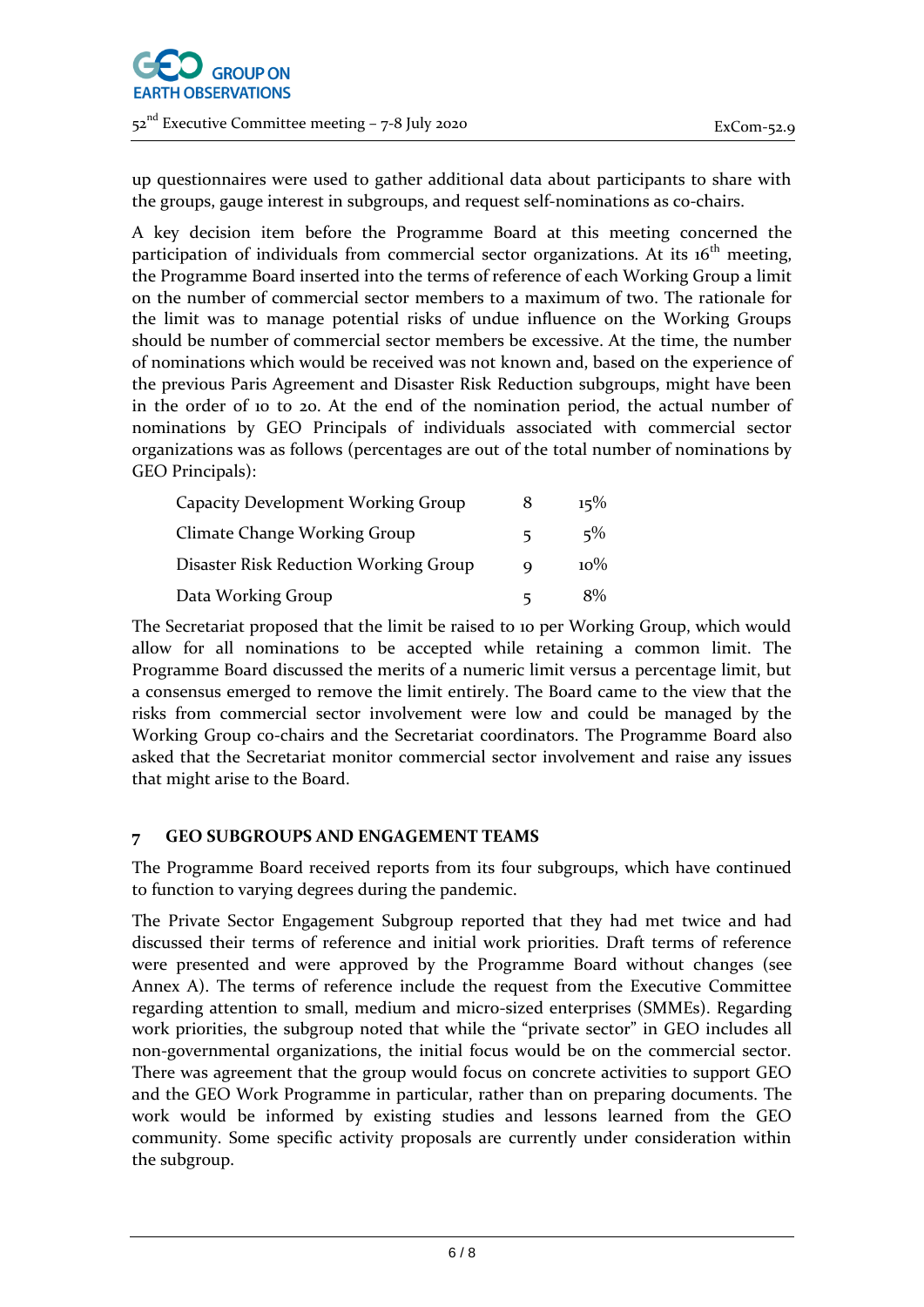

up questionnaires were used to gather additional data about participants to share with the groups, gauge interest in subgroups, and request self-nominations as co-chairs.

A key decision item before the Programme Board at this meeting concerned the participation of individuals from commercial sector organizations. At its  $16<sup>th</sup>$  meeting, the Programme Board inserted into the terms of reference of each Working Group a limit on the number of commercial sector members to a maximum of two. The rationale for the limit was to manage potential risks of undue influence on the Working Groups should be number of commercial sector members be excessive. At the time, the number of nominations which would be received was not known and, based on the experience of the previous Paris Agreement and Disaster Risk Reduction subgroups, might have been in the order of 10 to 20. At the end of the nomination period, the actual number of nominations by GEO Principals of individuals associated with commercial sector organizations was as follows (percentages are out of the total number of nominations by GEO Principals):

| Capacity Development Working Group    | 8  | $15\%$ |
|---------------------------------------|----|--------|
| Climate Change Working Group          | 5. | $5\%$  |
| Disaster Risk Reduction Working Group | a  | $10\%$ |
| Data Working Group                    |    | 8%     |

The Secretariat proposed that the limit be raised to 10 per Working Group, which would allow for all nominations to be accepted while retaining a common limit. The Programme Board discussed the merits of a numeric limit versus a percentage limit, but a consensus emerged to remove the limit entirely. The Board came to the view that the risks from commercial sector involvement were low and could be managed by the Working Group co-chairs and the Secretariat coordinators. The Programme Board also asked that the Secretariat monitor commercial sector involvement and raise any issues that might arise to the Board.

# **7 GEO SUBGROUPS AND ENGAGEMENT TEAMS**

The Programme Board received reports from its four subgroups, which have continued to function to varying degrees during the pandemic.

The Private Sector Engagement Subgroup reported that they had met twice and had discussed their terms of reference and initial work priorities. Draft terms of reference were presented and were approved by the Programme Board without changes (see Annex A). The terms of reference include the request from the Executive Committee regarding attention to small, medium and micro-sized enterprises (SMMEs). Regarding work priorities, the subgroup noted that while the "private sector" in GEO includes all non-governmental organizations, the initial focus would be on the commercial sector. There was agreement that the group would focus on concrete activities to support GEO and the GEO Work Programme in particular, rather than on preparing documents. The work would be informed by existing studies and lessons learned from the GEO community. Some specific activity proposals are currently under consideration within the subgroup.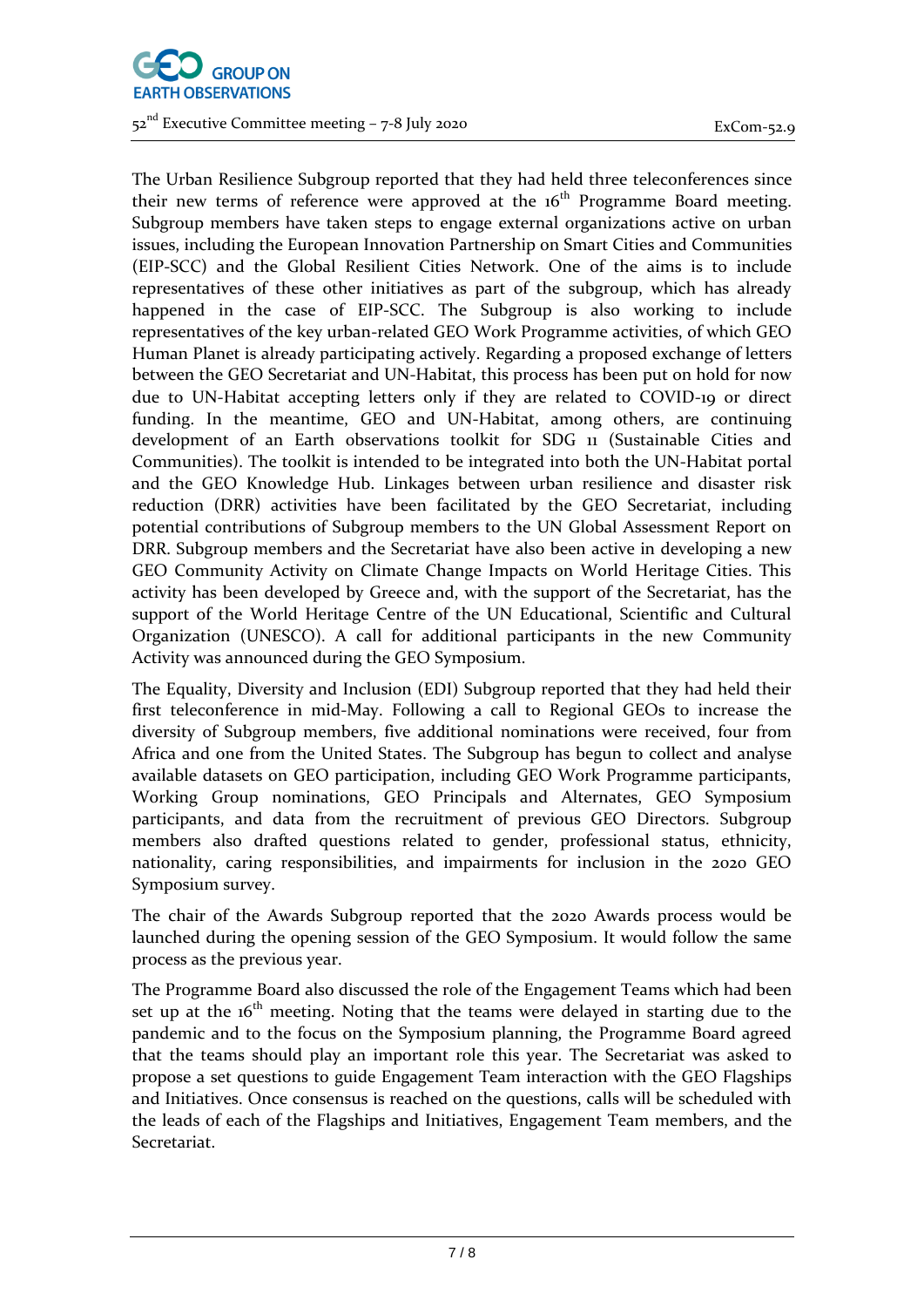

52 nd Executive Committee meeting – 7-8 July <sup>2020</sup> ExCom-52.9

The Urban Resilience Subgroup reported that they had held three teleconferences since their new terms of reference were approved at the  $16<sup>th</sup>$  Programme Board meeting. Subgroup members have taken steps to engage external organizations active on urban issues, including the European Innovation Partnership on Smart Cities and Communities (EIP-SCC) and the Global Resilient Cities Network. One of the aims is to include representatives of these other initiatives as part of the subgroup, which has already happened in the case of EIP-SCC. The Subgroup is also working to include representatives of the key urban-related GEO Work Programme activities, of which GEO Human Planet is already participating actively. Regarding a proposed exchange of letters between the GEO Secretariat and UN-Habitat, this process has been put on hold for now due to UN-Habitat accepting letters only if they are related to COVID-19 or direct funding. In the meantime, GEO and UN-Habitat, among others, are continuing development of an Earth observations toolkit for SDG 11 (Sustainable Cities and Communities). The toolkit is intended to be integrated into both the UN-Habitat portal and the GEO Knowledge Hub. Linkages between urban resilience and disaster risk reduction (DRR) activities have been facilitated by the GEO Secretariat, including potential contributions of Subgroup members to the UN Global Assessment Report on DRR. Subgroup members and the Secretariat have also been active in developing a new GEO Community Activity on Climate Change Impacts on World Heritage Cities. This activity has been developed by Greece and, with the support of the Secretariat, has the support of the World Heritage Centre of the UN Educational, Scientific and Cultural Organization (UNESCO). A call for additional participants in the new Community Activity was announced during the GEO Symposium.

The Equality, Diversity and Inclusion (EDI) Subgroup reported that they had held their first teleconference in mid-May. Following a call to Regional GEOs to increase the diversity of Subgroup members, five additional nominations were received, four from Africa and one from the United States. The Subgroup has begun to collect and analyse available datasets on GEO participation, including GEO Work Programme participants, Working Group nominations, GEO Principals and Alternates, GEO Symposium participants, and data from the recruitment of previous GEO Directors. Subgroup members also drafted questions related to gender, professional status, ethnicity, nationality, caring responsibilities, and impairments for inclusion in the 2020 GEO Symposium survey.

The chair of the Awards Subgroup reported that the 2020 Awards process would be launched during the opening session of the GEO Symposium. It would follow the same process as the previous year.

The Programme Board also discussed the role of the Engagement Teams which had been set up at the  $16<sup>th</sup>$  meeting. Noting that the teams were delayed in starting due to the pandemic and to the focus on the Symposium planning, the Programme Board agreed that the teams should play an important role this year. The Secretariat was asked to propose a set questions to guide Engagement Team interaction with the GEO Flagships and Initiatives. Once consensus is reached on the questions, calls will be scheduled with the leads of each of the Flagships and Initiatives, Engagement Team members, and the Secretariat.